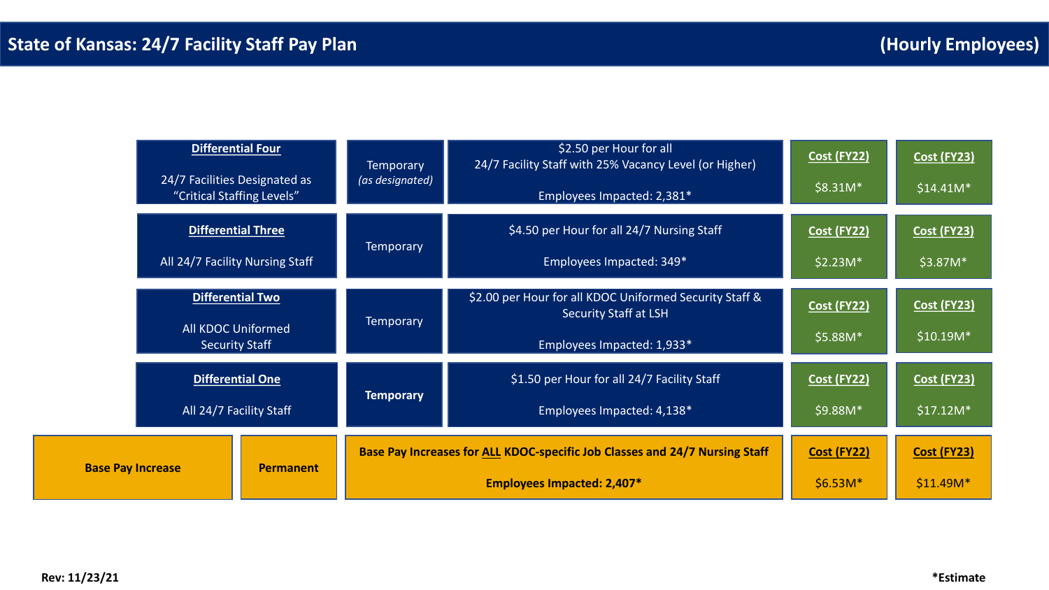|                          |                                                                                                                       | <b>Differential Four</b><br>24/7 Facilities Designated as<br>"Critical Staffing Levels" | <b>Temporary</b><br>(as designated) | \$2.50 per Hour for all<br>24/7 Facility Staff with 25% Vacancy Level (or Higher)<br>Employees Impacted: 2,381*       | <b>Cost (FY22)</b><br>$$8.31M*$ | <b>Cost (FY23)</b><br>$$14.41M*$ |
|--------------------------|-----------------------------------------------------------------------------------------------------------------------|-----------------------------------------------------------------------------------------|-------------------------------------|-----------------------------------------------------------------------------------------------------------------------|---------------------------------|----------------------------------|
|                          |                                                                                                                       | <b>Differential Three</b><br>All 24/7 Facility Nursing Staff                            | <b>Temporary</b>                    | \$4.50 per Hour for all 24/7 Nursing Staff<br>Employees Impacted: 349*                                                | <b>Cost (FY22)</b><br>$$2.23M*$ | <b>Cost (FY23)</b><br>\$3.87M*   |
|                          | Differential Two<br><b>All KDOC Uniformed</b><br><b>Security Staff</b><br>Differential One<br>All 24/7 Facility Staff |                                                                                         | <b>Temporary</b>                    | \$2.00 per Hour for all KDOC Uniformed Security Staff &<br><b>Security Staff at LSH</b><br>Employees Impacted: 1,933* | <b>Cost (FY22)</b><br>\$5.88M*  | <b>Cost (FY23)</b><br>$$10.19M*$ |
|                          |                                                                                                                       |                                                                                         | <b>Temporary</b>                    | \$1.50 per Hour for all 24/7 Facility Staff<br>Employees Impacted: 4,138*                                             | <b>Cost (FY22)</b><br>\$9.88M*  | <b>Cost (FY23)</b><br>$$17.12M*$ |
| <b>Base Pay Increase</b> |                                                                                                                       | <b>Permanent</b>                                                                        |                                     | Base Pay Increases for ALL KDOC-specific Job Classes and 24/7 Nursing Staff<br><b>Employees Impacted: 2,407*</b>      | <b>Cost (FY22)</b><br>$$6.53M*$ | <b>Cost (FY23)</b><br>$$11.49M*$ |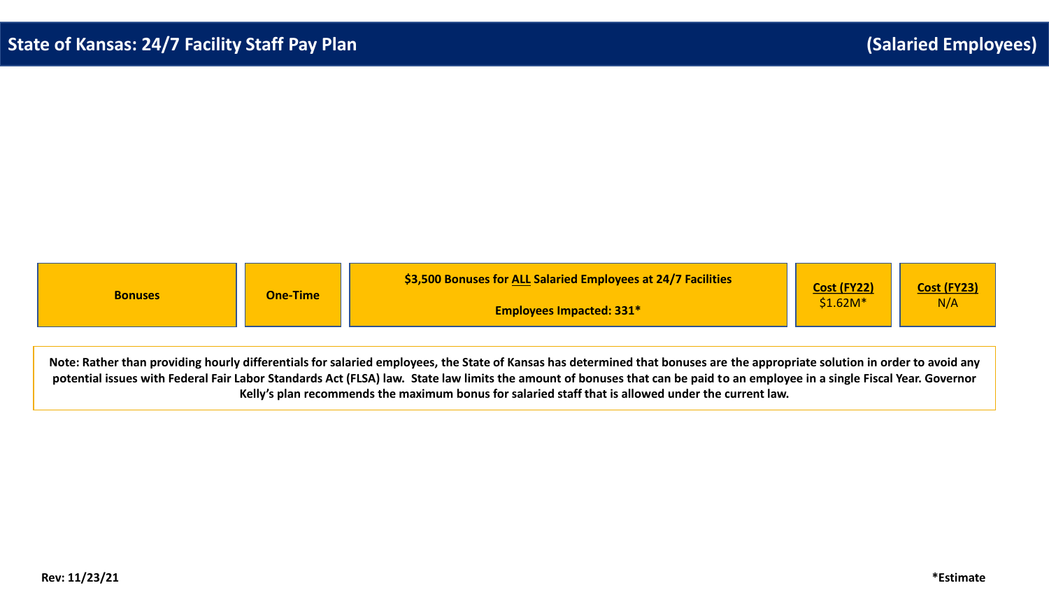| <b>Bonuses</b> | <b>One-Time</b> | \$3,500 Bonuses for ALL Salaried Employees at 24/7 Facilities | <b>Cost (FY22)</b> | <b>Cost (FY23)</b><br>N/4 |
|----------------|-----------------|---------------------------------------------------------------|--------------------|---------------------------|
|                |                 | <b>Employees Impacted: 331*</b>                               | $$1.62M*$          |                           |

**Note: Rather than providing hourly differentials for salaried employees, the State of Kansas has determined that bonuses are the appropriate solution in order to avoid any potential issues with Federal Fair Labor Standards Act (FLSA) law. State law limits the amount of bonuses that can be paid to an employee in a single Fiscal Year. Governor Kelly's plan recommends the maximum bonus for salaried staff that is allowed under the current law.**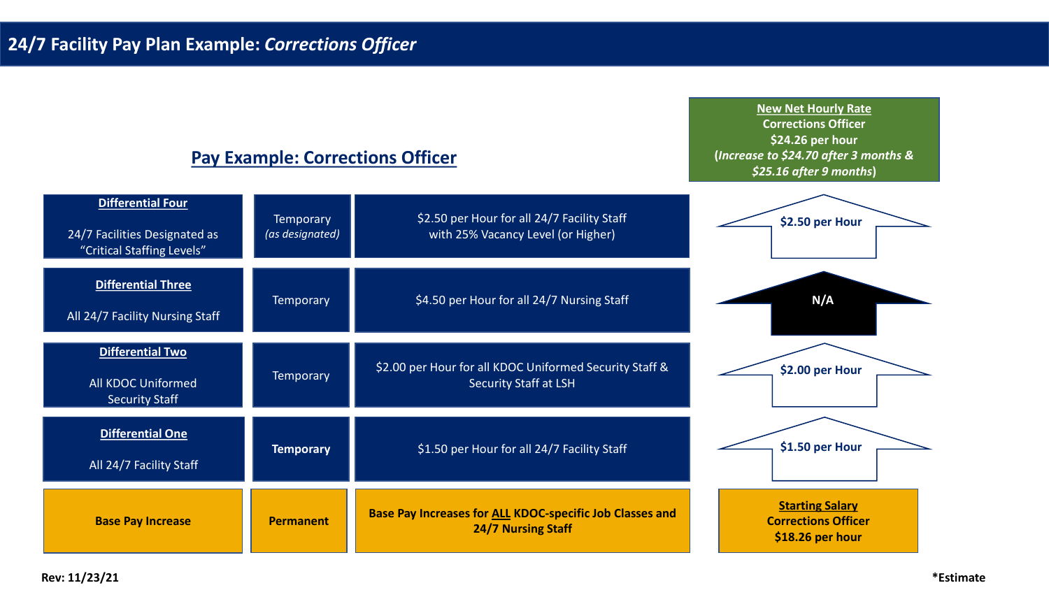## **Pay Example: Corrections Officer**

**New Net Hourly Rate Corrections Officer \$24.26 per hour (***Increase to \$24.70 after 3 months & \$25.16 after 9 months***)** 

| <b>Differential Four</b><br>24/7 Facilities Designated as<br>"Critical Staffing Levels" | <b>Temporary</b><br>(as designated) | \$2.50 per Hour for all 24/7 Facility Staff<br>with 25% Vacancy Level (or Higher)     | \$2.50 per Hour                                                          |
|-----------------------------------------------------------------------------------------|-------------------------------------|---------------------------------------------------------------------------------------|--------------------------------------------------------------------------|
| Differential Three<br>All 24/7 Facility Nursing Staff                                   | <b>Temporary</b>                    | \$4.50 per Hour for all 24/7 Nursing Staff                                            | N/A                                                                      |
| <b>Differential Two</b><br>All KDOC Uniformed<br><b>Security Staff</b>                  | <b>Temporary</b>                    | \$2.00 per Hour for all KDOC Uniformed Security Staff &<br>Security Staff at LSH      | \$2.00 per Hour                                                          |
| <b>Differential One</b><br>All 24/7 Facility Staff                                      | <b>Temporary</b>                    | \$1.50 per Hour for all 24/7 Facility Staff                                           | \$1.50 per Hour                                                          |
| <b>Base Pay Increase</b>                                                                | <b>Permanent</b>                    | Base Pay Increases for ALL KDOC-specific Job Classes and<br><b>24/7 Nursing Staff</b> | <b>Starting Salary</b><br><b>Corrections Officer</b><br>\$18.26 per hour |

**Rev: 11/23/21 \*Estimate**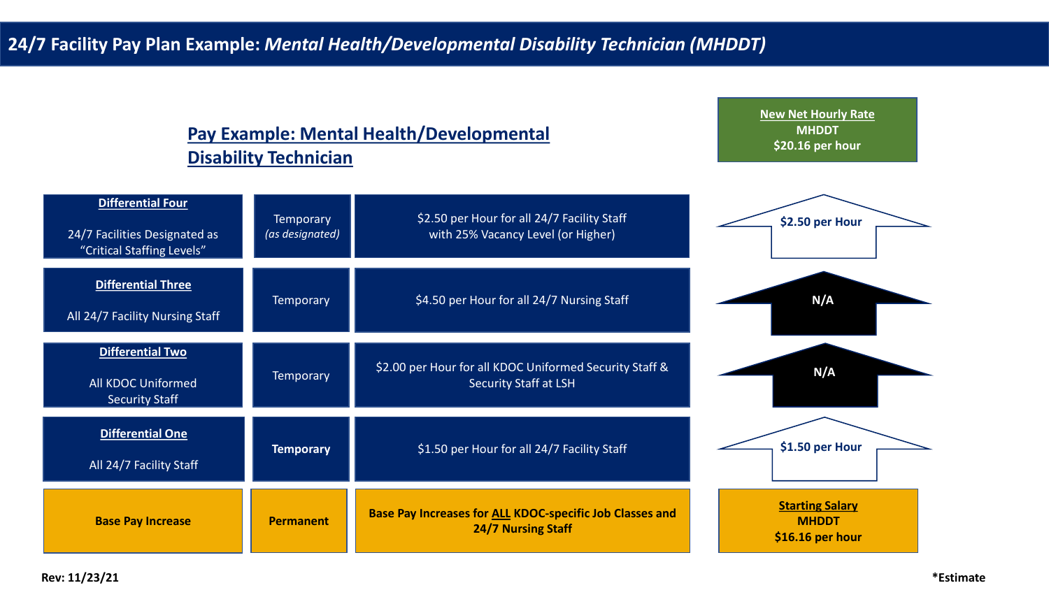## **Pay Example: Mental Health/Developmental Disability Technician**

**New Net Hourly Rate MHDDT \$20.16 per hour**

| <b>Differential Four</b><br>24/7 Facilities Designated as<br>"Critical Staffing Levels" | <b>Temporary</b><br>(as designated) | \$2.50 per Hour for all 24/7 Facility Staff<br>with 25% Vacancy Level (or Higher)            | \$2.50 per Hour                                            |
|-----------------------------------------------------------------------------------------|-------------------------------------|----------------------------------------------------------------------------------------------|------------------------------------------------------------|
| <b>Differential Three</b><br>All 24/7 Facility Nursing Staff                            | <b>Temporary</b>                    | \$4.50 per Hour for all 24/7 Nursing Staff                                                   | N/A                                                        |
| <b>Differential Two</b><br><b>All KDOC Uniformed</b><br><b>Security Staff</b>           | <b>Temporary</b>                    | \$2.00 per Hour for all KDOC Uniformed Security Staff &<br><b>Security Staff at LSH</b>      | N/A                                                        |
| <b>Differential One</b><br>All 24/7 Facility Staff                                      | <b>Temporary</b>                    | \$1.50 per Hour for all 24/7 Facility Staff                                                  | \$1.50 per Hour                                            |
| <b>Base Pay Increase</b>                                                                | <b>Permanent</b>                    | <b>Base Pay Increases for ALL KDOC-specific Job Classes and</b><br><b>24/7 Nursing Staff</b> | <b>Starting Salary</b><br><b>MHDDT</b><br>\$16.16 per hour |

**Rev: 11/23/21 \*Estimate**